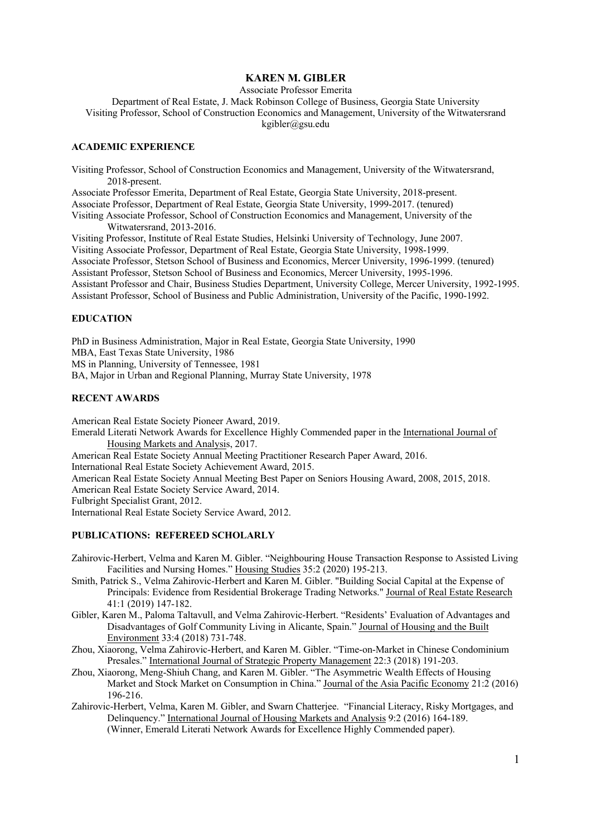# **KAREN M. GIBLER**

Associate Professor Emerita

Department of Real Estate, J. Mack Robinson College of Business, Georgia State University Visiting Professor, School of Construction Economics and Management, University of the Witwatersrand kgibler@gsu.edu

## **ACADEMIC EXPERIENCE**

Visiting Professor, School of Construction Economics and Management, University of the Witwatersrand, 2018-present.

Associate Professor Emerita, Department of Real Estate, Georgia State University, 2018-present.

Associate Professor, Department of Real Estate, Georgia State University, 1999-2017. (tenured)

Visiting Associate Professor, School of Construction Economics and Management, University of the Witwatersrand, 2013-2016.

Visiting Professor, Institute of Real Estate Studies, Helsinki University of Technology, June 2007. Visiting Associate Professor, Department of Real Estate, Georgia State University, 1998-1999. Associate Professor, Stetson School of Business and Economics, Mercer University, 1996-1999. (tenured) Assistant Professor, Stetson School of Business and Economics, Mercer University, 1995-1996. Assistant Professor and Chair, Business Studies Department, University College, Mercer University, 1992-1995. Assistant Professor, School of Business and Public Administration, University of the Pacific, 1990-1992.

#### **EDUCATION**

PhD in Business Administration, Major in Real Estate, Georgia State University, 1990 MBA, East Texas State University, 1986 MS in Planning, University of Tennessee, 1981 BA, Major in Urban and Regional Planning, Murray State University, 1978

## **RECENT AWARDS**

American Real Estate Society Pioneer Award, 2019.

Emerald Literati Network Awards for Excellence Highly Commended paper in the International Journal of Housing Markets and Analysis, 2017.

American Real Estate Society Annual Meeting Practitioner Research Paper Award, 2016.

International Real Estate Society Achievement Award, 2015.

American Real Estate Society Annual Meeting Best Paper on Seniors Housing Award, 2008, 2015, 2018.

American Real Estate Society Service Award, 2014.

Fulbright Specialist Grant, 2012.

International Real Estate Society Service Award, 2012.

#### **PUBLICATIONS: REFEREED SCHOLARLY**

- Zahirovic-Herbert, Velma and Karen M. Gibler. "Neighbouring House Transaction Response to Assisted Living Facilities and Nursing Homes." Housing Studies 35:2 (2020) 195-213.
- Smith, Patrick S., Velma Zahirovic-Herbert and Karen M. Gibler. "Building Social Capital at the Expense of Principals: Evidence from Residential Brokerage Trading Networks." Journal of Real Estate Research 41:1 (2019) 147-182.
- Gibler, Karen M., Paloma Taltavull, and Velma Zahirovic-Herbert. "Residents' Evaluation of Advantages and Disadvantages of Golf Community Living in Alicante, Spain." Journal of Housing and the Built Environment 33:4 (2018) 731-748.
- Zhou, Xiaorong, Velma Zahirovic-Herbert, and Karen M. Gibler. "Time-on-Market in Chinese Condominium Presales." International Journal of Strategic Property Management 22:3 (2018) 191-203.
- Zhou, Xiaorong, Meng-Shiuh Chang, and Karen M. Gibler. "The Asymmetric Wealth Effects of Housing Market and Stock Market on Consumption in China." Journal of the Asia Pacific Economy 21:2 (2016) 196-216.
- Zahirovic-Herbert, Velma, Karen M. Gibler, and Swarn Chatterjee. "Financial Literacy, Risky Mortgages, and Delinquency." International Journal of Housing Markets and Analysis 9:2 (2016) 164-189. (Winner, Emerald Literati Network Awards for Excellence Highly Commended paper).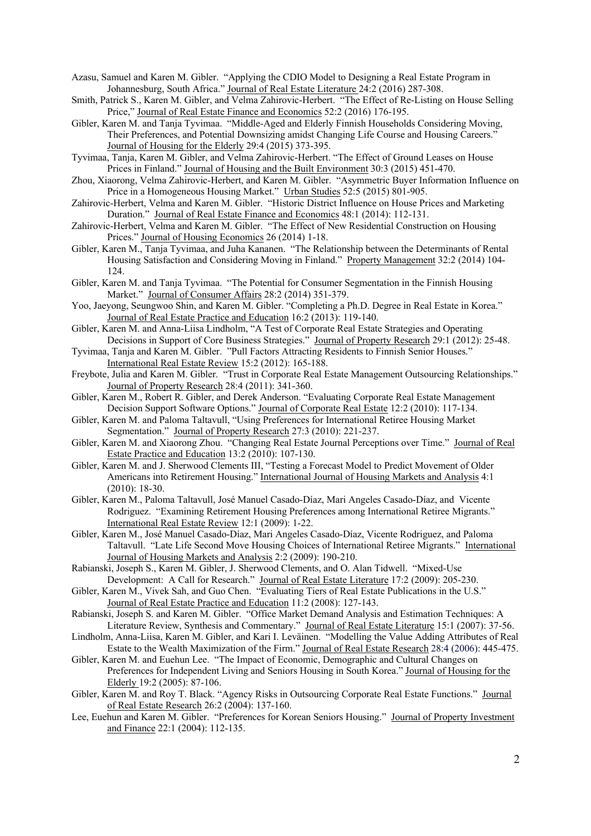Azasu, Samuel and Karen M. Gibler. "Applying the CDIO Model to Designing a Real Estate Program in Johannesburg, South Africa." Journal of Real Estate Literature 24:2 (2016) 287-308.

- Smith, Patrick S., Karen M. Gibler, and Velma Zahirovic-Herbert. "The Effect of Re-Listing on House Selling Price," Journal of Real Estate Finance and Economics 52:2 (2016) 176-195.
- Gibler, Karen M. and Tanja Tyvimaa. "Middle-Aged and Elderly Finnish Households Considering Moving, Their Preferences, and Potential Downsizing amidst Changing Life Course and Housing Careers." Journal of Housing for the Elderly 29:4 (2015) 373-395.
- Tyvimaa, Tanja, Karen M. Gibler, and Velma Zahirovic-Herbert. "The Effect of Ground Leases on House Prices in Finland." Journal of Housing and the Built Environment 30:3 (2015) 451-470.
- Zhou, Xiaorong, Velma Zahirovic-Herbert, and Karen M. Gibler. "Asymmetric Buyer Information Influence on Price in a Homogeneous Housing Market." Urban Studies 52:5 (2015) 801-905.
- Zahirovic-Herbert, Velma and Karen M. Gibler. "Historic District Influence on House Prices and Marketing Duration." Journal of Real Estate Finance and Economics 48:1 (2014): 112-131.
- Zahirovic-Herbert, Velma and Karen M. Gibler. "The Effect of New Residential Construction on Housing Prices." Journal of Housing Economics 26 (2014) 1-18.
- Gibler, Karen M., Tanja Tyvimaa, and Juha Kananen. "The Relationship between the Determinants of Rental Housing Satisfaction and Considering Moving in Finland." Property Management 32:2 (2014) 104- 124.
- Gibler, Karen M. and Tanja Tyvimaa. "The Potential for Consumer Segmentation in the Finnish Housing Market." Journal of Consumer Affairs 28:2 (2014) 351-379.
- Yoo, Jaeyong, Seungwoo Shin, and Karen M. Gibler. "Completing a Ph.D. Degree in Real Estate in Korea." Journal of Real Estate Practice and Education 16:2 (2013): 119-140.
- Gibler, Karen M. and Anna-Liisa Lindholm, "A Test of Corporate Real Estate Strategies and Operating Decisions in Support of Core Business Strategies." Journal of Property Research 29:1 (2012): 25-48.
- Tyvimaa, Tanja and Karen M. Gibler. "Pull Factors Attracting Residents to Finnish Senior Houses." International Real Estate Review 15:2 (2012): 165-188.
- Freybote, Julia and Karen M. Gibler. "Trust in Corporate Real Estate Management Outsourcing Relationships." Journal of Property Research 28:4 (2011): 341-360.
- Gibler, Karen M., Robert R. Gibler, and Derek Anderson. "Evaluating Corporate Real Estate Management Decision Support Software Options." Journal of Corporate Real Estate 12:2 (2010): 117-134.
- Gibler, Karen M. and Paloma Taltavull, "Using Preferences for International Retiree Housing Market Segmentation." Journal of Property Research 27:3 (2010): 221-237.
- Gibler, Karen M. and Xiaorong Zhou. "Changing Real Estate Journal Perceptions over Time." Journal of Real Estate Practice and Education 13:2 (2010): 107-130.
- Gibler, Karen M. and J. Sherwood Clements III, "Testing a Forecast Model to Predict Movement of Older Americans into Retirement Housing." International Journal of Housing Markets and Analysis 4:1 (2010): 18-30.
- Gibler, Karen M., Paloma Taltavull, José Manuel Casado-Díaz, Mari Angeles Casado-Díaz, and Vicente Rodriguez. "Examining Retirement Housing Preferences among International Retiree Migrants." International Real Estate Review 12:1 (2009): 1-22.
- Gibler, Karen M., José Manuel Casado-Díaz, Mari Angeles Casado-Díaz, Vicente Rodriguez, and Paloma Taltavull. "Late Life Second Move Housing Choices of International Retiree Migrants." International Journal of Housing Markets and Analysis 2:2 (2009): 190-210.
- Rabianski, Joseph S., Karen M. Gibler, J. Sherwood Clements, and O. Alan Tidwell. "Mixed-Use Development: A Call for Research." Journal of Real Estate Literature 17:2 (2009): 205-230.
- Gibler, Karen M., Vivek Sah, and Guo Chen. "Evaluating Tiers of Real Estate Publications in the U.S." Journal of Real Estate Practice and Education 11:2 (2008): 127-143.
- Rabianski, Joseph S. and Karen M. Gibler. "Office Market Demand Analysis and Estimation Techniques: A Literature Review, Synthesis and Commentary." Journal of Real Estate Literature 15:1 (2007): 37-56.
- Lindholm, Anna-Liisa, Karen M. Gibler, and Kari I. Leväinen. "Modelling the Value Adding Attributes of Real Estate to the Wealth Maximization of the Firm." Journal of Real Estate Research 28:4 (2006): 445-475.
- Gibler, Karen M. and Euehun Lee. "The Impact of Economic, Demographic and Cultural Changes on Preferences for Independent Living and Seniors Housing in South Korea." Journal of Housing for the Elderly 19:2 (2005): 87-106.
- Gibler, Karen M. and Roy T. Black. "Agency Risks in Outsourcing Corporate Real Estate Functions." Journal of Real Estate Research 26:2 (2004): 137-160.
- Lee, Euehun and Karen M. Gibler. "Preferences for Korean Seniors Housing." Journal of Property Investment and Finance 22:1 (2004): 112-135.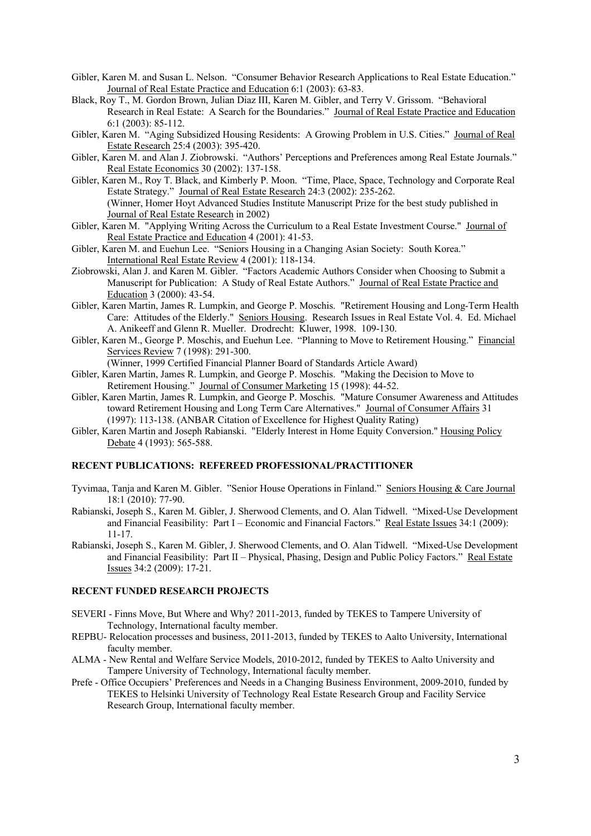- Gibler, Karen M. and Susan L. Nelson. "Consumer Behavior Research Applications to Real Estate Education." Journal of Real Estate Practice and Education 6:1 (2003): 63-83.
- Black, Roy T., M. Gordon Brown, Julian Diaz III, Karen M. Gibler, and Terry V. Grissom. "Behavioral Research in Real Estate: A Search for the Boundaries." Journal of Real Estate Practice and Education 6:1 (2003): 85-112.
- Gibler, Karen M. "Aging Subsidized Housing Residents: A Growing Problem in U.S. Cities." Journal of Real Estate Research 25:4 (2003): 395-420.
- Gibler, Karen M. and Alan J. Ziobrowski. "Authors' Perceptions and Preferences among Real Estate Journals." Real Estate Economics 30 (2002): 137-158.
- Gibler, Karen M., Roy T. Black, and Kimberly P. Moon. "Time, Place, Space, Technology and Corporate Real Estate Strategy." Journal of Real Estate Research 24:3 (2002): 235-262. (Winner, Homer Hoyt Advanced Studies Institute Manuscript Prize for the best study published in Journal of Real Estate Research in 2002)
- Gibler, Karen M. "Applying Writing Across the Curriculum to a Real Estate Investment Course." Journal of Real Estate Practice and Education 4 (2001): 41-53.
- Gibler, Karen M. and Euehun Lee. "Seniors Housing in a Changing Asian Society: South Korea." International Real Estate Review 4 (2001): 118-134.
- Ziobrowski, Alan J. and Karen M. Gibler. "Factors Academic Authors Consider when Choosing to Submit a Manuscript for Publication: A Study of Real Estate Authors." Journal of Real Estate Practice and Education 3 (2000): 43-54.
- Gibler, Karen Martin, James R. Lumpkin, and George P. Moschis. "Retirement Housing and Long-Term Health Care: Attitudes of the Elderly." Seniors Housing. Research Issues in Real Estate Vol. 4. Ed. Michael A. Anikeeff and Glenn R. Mueller. Drodrecht: Kluwer, 1998. 109-130.
- Gibler, Karen M., George P. Moschis, and Euehun Lee. "Planning to Move to Retirement Housing." Financial Services Review 7 (1998): 291-300.
	- (Winner, 1999 Certified Financial Planner Board of Standards Article Award)
- Gibler, Karen Martin, James R. Lumpkin, and George P. Moschis. "Making the Decision to Move to Retirement Housing." Journal of Consumer Marketing 15 (1998): 44-52.
- Gibler, Karen Martin, James R. Lumpkin, and George P. Moschis. "Mature Consumer Awareness and Attitudes toward Retirement Housing and Long Term Care Alternatives." Journal of Consumer Affairs 31 (1997): 113-138. (ANBAR Citation of Excellence for Highest Quality Rating)
- Gibler, Karen Martin and Joseph Rabianski. "Elderly Interest in Home Equity Conversion." Housing Policy Debate 4 (1993): 565-588.

## **RECENT PUBLICATIONS: REFEREED PROFESSIONAL/PRACTITIONER**

- Tyvimaa, Tanja and Karen M. Gibler. "Senior House Operations in Finland." Seniors Housing & Care Journal 18:1 (2010): 77-90.
- Rabianski, Joseph S., Karen M. Gibler, J. Sherwood Clements, and O. Alan Tidwell. "Mixed-Use Development and Financial Feasibility: Part I – Economic and Financial Factors." Real Estate Issues 34:1 (2009): 11-17.
- Rabianski, Joseph S., Karen M. Gibler, J. Sherwood Clements, and O. Alan Tidwell. "Mixed-Use Development and Financial Feasibility: Part II - Physical, Phasing, Design and Public Policy Factors." Real Estate Issues 34:2 (2009): 17-21.

## **RECENT FUNDED RESEARCH PROJECTS**

- SEVERI Finns Move, But Where and Why? 2011-2013, funded by TEKES to Tampere University of Technology, International faculty member.
- REPBU- Relocation processes and business, 2011-2013, funded by TEKES to Aalto University, International faculty member.
- ALMA New Rental and Welfare Service Models, 2010-2012, funded by TEKES to Aalto University and Tampere University of Technology, International faculty member.
- Prefe Office Occupiers' Preferences and Needs in a Changing Business Environment, 2009-2010, funded by TEKES to Helsinki University of Technology Real Estate Research Group and Facility Service Research Group, International faculty member.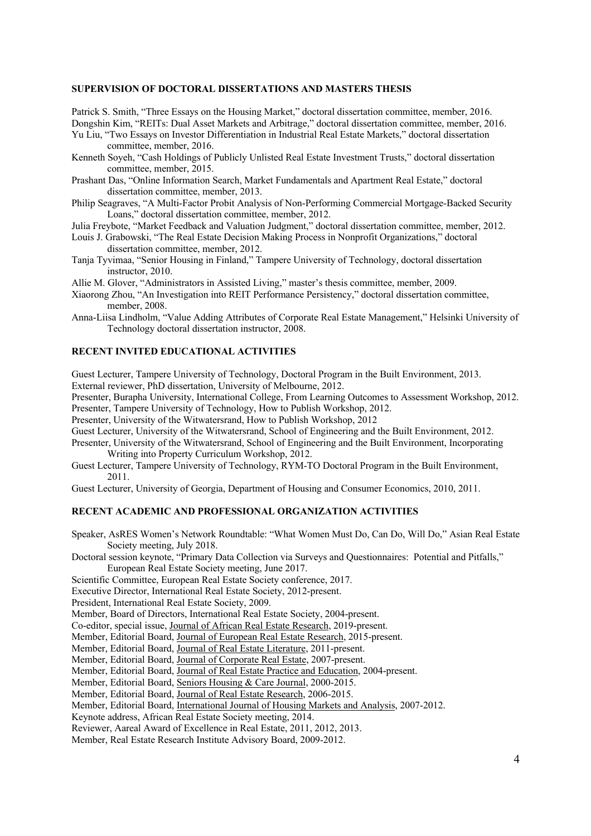#### **SUPERVISION OF DOCTORAL DISSERTATIONS AND MASTERS THESIS**

Patrick S. Smith, "Three Essays on the Housing Market," doctoral dissertation committee, member, 2016. Dongshin Kim, "REITs: Dual Asset Markets and Arbitrage," doctoral dissertation committee, member, 2016.

Yu Liu, "Two Essays on Investor Differentiation in Industrial Real Estate Markets," doctoral dissertation committee, member, 2016.

Kenneth Soyeh, "Cash Holdings of Publicly Unlisted Real Estate Investment Trusts," doctoral dissertation committee, member, 2015.

- Prashant Das, "Online Information Search, Market Fundamentals and Apartment Real Estate," doctoral dissertation committee, member, 2013.
- Philip Seagraves, "A Multi-Factor Probit Analysis of Non-Performing Commercial Mortgage-Backed Security Loans," doctoral dissertation committee, member, 2012.

Julia Freybote, "Market Feedback and Valuation Judgment," doctoral dissertation committee, member, 2012.

Louis J. Grabowski, "The Real Estate Decision Making Process in Nonprofit Organizations," doctoral dissertation committee, member, 2012.

Tanja Tyvimaa, "Senior Housing in Finland," Tampere University of Technology, doctoral dissertation instructor, 2010.

Allie M. Glover, "Administrators in Assisted Living," master's thesis committee, member, 2009.

Xiaorong Zhou, "An Investigation into REIT Performance Persistency," doctoral dissertation committee, member, 2008.

Anna-Liisa Lindholm, "Value Adding Attributes of Corporate Real Estate Management," Helsinki University of Technology doctoral dissertation instructor, 2008.

#### **RECENT INVITED EDUCATIONAL ACTIVITIES**

Guest Lecturer, Tampere University of Technology, Doctoral Program in the Built Environment, 2013.

External reviewer, PhD dissertation, University of Melbourne, 2012.

Presenter, Burapha University, International College, From Learning Outcomes to Assessment Workshop, 2012. Presenter, Tampere University of Technology, How to Publish Workshop, 2012.

Presenter, University of the Witwatersrand, How to Publish Workshop, 2012

Guest Lecturer, University of the Witwatersrand, School of Engineering and the Built Environment, 2012.

Presenter, University of the Witwatersrand, School of Engineering and the Built Environment, Incorporating Writing into Property Curriculum Workshop, 2012.

Guest Lecturer, Tampere University of Technology, RYM-TO Doctoral Program in the Built Environment, 2011.

Guest Lecturer, University of Georgia, Department of Housing and Consumer Economics, 2010, 2011.

## **RECENT ACADEMIC AND PROFESSIONAL ORGANIZATION ACTIVITIES**

Speaker, AsRES Women's Network Roundtable: "What Women Must Do, Can Do, Will Do," Asian Real Estate Society meeting, July 2018.

Doctoral session keynote, "Primary Data Collection via Surveys and Questionnaires: Potential and Pitfalls," European Real Estate Society meeting, June 2017.

Scientific Committee, European Real Estate Society conference, 2017.

Executive Director, International Real Estate Society, 2012-present.

President, International Real Estate Society, 2009.

Member, Board of Directors, International Real Estate Society, 2004-present.

Co-editor, special issue, Journal of African Real Estate Research, 2019-present.

Member, Editorial Board, Journal of European Real Estate Research, 2015-present.

Member, Editorial Board, Journal of Real Estate Literature, 2011-present.

Member, Editorial Board, Journal of Corporate Real Estate, 2007-present.

Member, Editorial Board, Journal of Real Estate Practice and Education, 2004-present.

Member, Editorial Board, Seniors Housing & Care Journal, 2000-2015.

Member, Editorial Board, Journal of Real Estate Research, 2006-2015.

Member, Editorial Board, International Journal of Housing Markets and Analysis, 2007-2012.

Keynote address, African Real Estate Society meeting, 2014.

Reviewer, Aareal Award of Excellence in Real Estate, 2011, 2012, 2013.

Member, Real Estate Research Institute Advisory Board, 2009-2012.